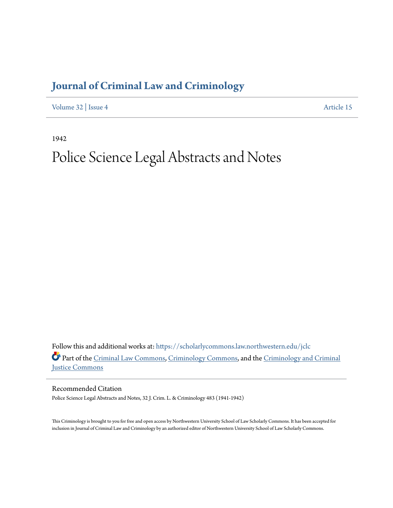# **[Journal of Criminal Law and Criminology](https://scholarlycommons.law.northwestern.edu/jclc?utm_source=scholarlycommons.law.northwestern.edu%2Fjclc%2Fvol32%2Fiss4%2F15&utm_medium=PDF&utm_campaign=PDFCoverPages)**

[Volume 32](https://scholarlycommons.law.northwestern.edu/jclc/vol32?utm_source=scholarlycommons.law.northwestern.edu%2Fjclc%2Fvol32%2Fiss4%2F15&utm_medium=PDF&utm_campaign=PDFCoverPages) | [Issue 4](https://scholarlycommons.law.northwestern.edu/jclc/vol32/iss4?utm_source=scholarlycommons.law.northwestern.edu%2Fjclc%2Fvol32%2Fiss4%2F15&utm_medium=PDF&utm_campaign=PDFCoverPages) [Article 15](https://scholarlycommons.law.northwestern.edu/jclc/vol32/iss4/15?utm_source=scholarlycommons.law.northwestern.edu%2Fjclc%2Fvol32%2Fiss4%2F15&utm_medium=PDF&utm_campaign=PDFCoverPages)

1942

# Police Science Legal Abstracts and Notes

Follow this and additional works at: [https://scholarlycommons.law.northwestern.edu/jclc](https://scholarlycommons.law.northwestern.edu/jclc?utm_source=scholarlycommons.law.northwestern.edu%2Fjclc%2Fvol32%2Fiss4%2F15&utm_medium=PDF&utm_campaign=PDFCoverPages) Part of the [Criminal Law Commons](http://network.bepress.com/hgg/discipline/912?utm_source=scholarlycommons.law.northwestern.edu%2Fjclc%2Fvol32%2Fiss4%2F15&utm_medium=PDF&utm_campaign=PDFCoverPages), [Criminology Commons](http://network.bepress.com/hgg/discipline/417?utm_source=scholarlycommons.law.northwestern.edu%2Fjclc%2Fvol32%2Fiss4%2F15&utm_medium=PDF&utm_campaign=PDFCoverPages), and the [Criminology and Criminal](http://network.bepress.com/hgg/discipline/367?utm_source=scholarlycommons.law.northwestern.edu%2Fjclc%2Fvol32%2Fiss4%2F15&utm_medium=PDF&utm_campaign=PDFCoverPages) [Justice Commons](http://network.bepress.com/hgg/discipline/367?utm_source=scholarlycommons.law.northwestern.edu%2Fjclc%2Fvol32%2Fiss4%2F15&utm_medium=PDF&utm_campaign=PDFCoverPages)

Recommended Citation

Police Science Legal Abstracts and Notes, 32 J. Crim. L. & Criminology 483 (1941-1942)

This Criminology is brought to you for free and open access by Northwestern University School of Law Scholarly Commons. It has been accepted for inclusion in Journal of Criminal Law and Criminology by an authorized editor of Northwestern University School of Law Scholarly Commons.